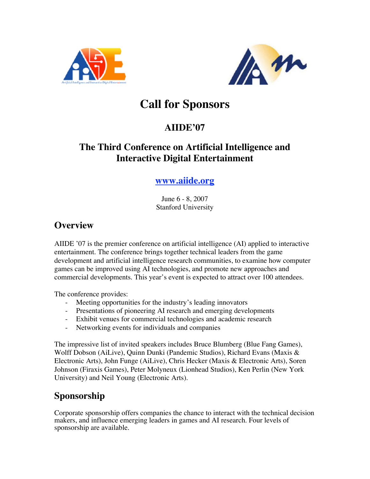



# **Call for Sponsors**

#### **AIIDE'07**

#### **The Third Conference on Artificial Intelligence and Interactive Digital Entertainment**

#### **www.aiide.org**

June 6 - 8, 2007 Stanford University

#### **Overview**

AIIDE '07 is the premier conference on artificial intelligence (AI) applied to interactive entertainment. The conference brings together technical leaders from the game development and artificial intelligence research communities, to examine how computer games can be improved using AI technologies, and promote new approaches and commercial developments. This year's event is expected to attract over 100 attendees.

The conference provides:

- Meeting opportunities for the industry's leading innovators
- Presentations of pioneering AI research and emerging developments
- Exhibit venues for commercial technologies and academic research
- Networking events for individuals and companies

The impressive list of invited speakers includes Bruce Blumberg (Blue Fang Games), Wolff Dobson (AiLive), Quinn Dunki (Pandemic Studios), Richard Evans (Maxis & Electronic Arts), John Funge (AiLive), Chris Hecker (Maxis & Electronic Arts), Soren Johnson (Firaxis Games), Peter Molyneux (Lionhead Studios), Ken Perlin (New York University) and Neil Young (Electronic Arts).

## **Sponsorship**

Corporate sponsorship offers companies the chance to interact with the technical decision makers, and influence emerging leaders in games and AI research. Four levels of sponsorship are available.